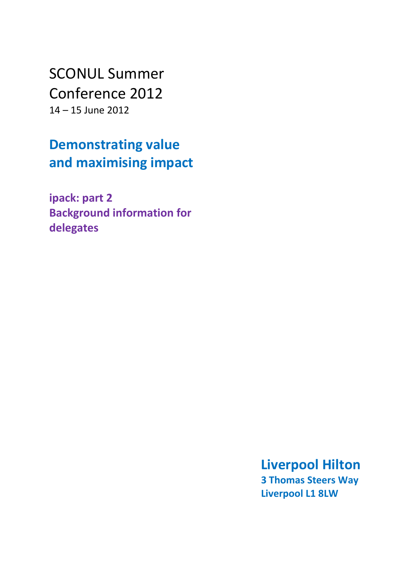SCONUL Summer Conference 2012 14 – 15 June 2012

**Demonstrating value and maximising impact**

**ipack: part 2 Background information for delegates**

> **Liverpool Hilton 3 Thomas Steers Way Liverpool L1 8LW**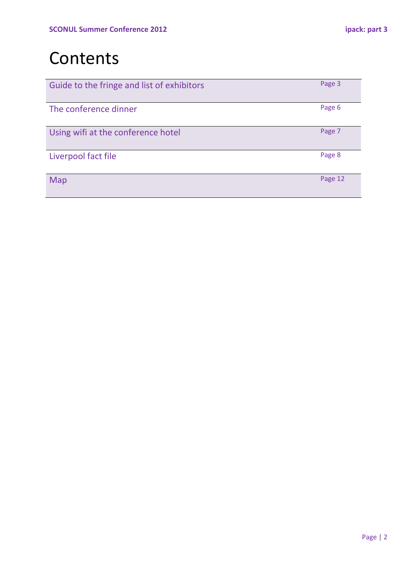# Contents

| Guide to the fringe and list of exhibitors | Page 3  |
|--------------------------------------------|---------|
| The conference dinner                      | Page 6  |
| Using wifi at the conference hotel         | Page 7  |
| Liverpool fact file                        | Page 8  |
| Map                                        | Page 12 |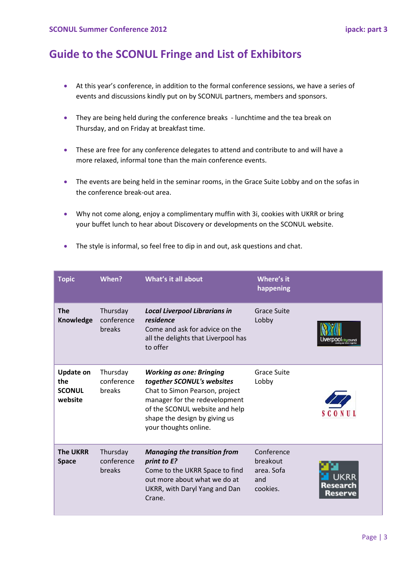# **Guide to the SCONUL Fringe and List of Exhibitors**

- At this year's conference, in addition to the formal conference sessions, we have a series of events and discussions kindly put on by SCONUL partners, members and sponsors.
- They are being held during the conference breaks lunchtime and the tea break on Thursday, and on Friday at breakfast time.
- These are free for any conference delegates to attend and contribute to and will have a more relaxed, informal tone than the main conference events.
- The events are being held in the seminar rooms, in the Grace Suite Lobby and on the sofas in the conference break-out area.
- Why not come along, enjoy a complimentary muffin with 3i, cookies with UKRR or bring your buffet lunch to hear about Discovery or developments on the SCONUL website.

| <b>Topic</b>                                        | When?                            | What's it all about                                                                                                                                                                                                          | Where's it<br>happening                                 |                   |
|-----------------------------------------------------|----------------------------------|------------------------------------------------------------------------------------------------------------------------------------------------------------------------------------------------------------------------------|---------------------------------------------------------|-------------------|
| <b>The</b><br>Knowledge                             | Thursday<br>conference<br>breaks | <b>Local Liverpool Librarians in</b><br>residence<br>Come and ask for advice on the<br>all the delights that Liverpool has<br>to offer                                                                                       | Grace Suite<br>Lobby                                    | 00 city counci    |
| <b>Update on</b><br>the<br><b>SCONUL</b><br>website | Thursday<br>conference<br>breaks | <b>Working as one: Bringing</b><br>together SCONUL's websites<br>Chat to Simon Pearson, project<br>manager for the redevelopment<br>of the SCONUL website and help<br>shape the design by giving us<br>your thoughts online. | <b>Grace Suite</b><br>Lobby                             |                   |
| <b>The UKRR</b><br><b>Space</b>                     | Thursday<br>conference<br>breaks | <b>Managing the transition from</b><br>print to E?<br>Come to the UKRR Space to find<br>out more about what we do at<br>UKRR, with Daryl Yang and Dan<br>Crane.                                                              | Conference<br>breakout<br>area. Sofa<br>and<br>cookies. | Research<br>Reser |

• The style is informal, so feel free to dip in and out, ask questions and chat.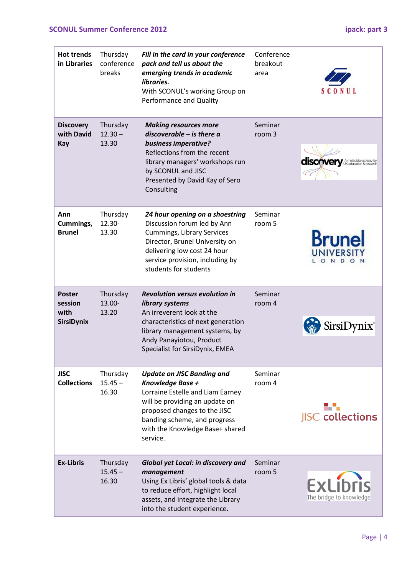## **SCONUL Summer Conference 2012 ipack: part 3**

| <b>Hot trends</b><br>in Libraries              | Thursday<br>conference<br>breaks | Fill in the card in your conference<br>pack and tell us about the<br>emerging trends in academic<br>libraries.<br>With SCONUL's working Group on<br>Performance and Quality                                                                | Conference<br>breakout<br>area |                                                  |
|------------------------------------------------|----------------------------------|--------------------------------------------------------------------------------------------------------------------------------------------------------------------------------------------------------------------------------------------|--------------------------------|--------------------------------------------------|
| <b>Discovery</b><br>with David<br>Kay          | Thursday<br>$12.30 -$<br>13.30   | <b>Making resources more</b><br>$discoverable - is there$ a<br>business imperative?<br>Reflections from the recent<br>library managers' workshops run<br>by SCONUL and JISC<br>Presented by David Kay of Sero<br>Consulting                | Seminar<br>room 3              | <b>discovery</b> A metadata ecology for          |
| Ann<br>Cummings,<br><b>Brunel</b>              | Thursday<br>12.30-<br>13.30      | 24 hour opening on a shoestring<br>Discussion forum led by Ann<br><b>Cummings, Library Services</b><br>Director, Brunel University on<br>delivering low cost 24 hour<br>service provision, including by<br>students for students           | Seminar<br>room 5              | <b>Brun</b><br><b>UNIVERSI</b><br>D.<br>ON<br>ON |
| <b>Poster</b><br>session<br>with<br>SirsiDynix | Thursday<br>13.00-<br>13.20      | <b>Revolution versus evolution in</b><br>library systems<br>An irreverent look at the<br>characteristics of next generation<br>library management systems, by<br>Andy Panayiotou, Product<br>Specialist for SirsiDynix, EMEA               | Seminar<br>room 4              | SirsiDynix®                                      |
| <b>JISC</b><br><b>Collections</b>              | Thursday<br>$15.45 -$<br>16.30   | <b>Update on JISC Banding and</b><br>Knowledge Base +<br>Lorraine Estelle and Liam Earney<br>will be providing an update on<br>proposed changes to the JISC<br>banding scheme, and progress<br>with the Knowledge Base+ shared<br>service. | Seminar<br>room 4              | sa a<br><b>JISC</b> collections                  |
| <b>Ex-Libris</b>                               | Thursday<br>$15.45 -$<br>16.30   | Global yet Local: in discovery and<br>management<br>Using Ex Libris' global tools & data<br>to reduce effort, highlight local<br>assets, and integrate the Library<br>into the student experience.                                         | Seminar<br>room 5              | <b>ExLibris</b><br>The bridge to knowledge       |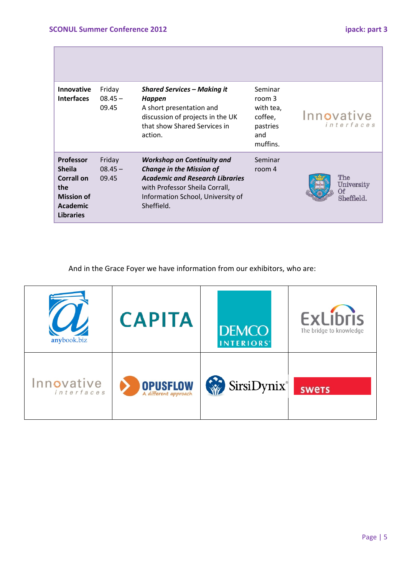H

| <b>Innovative</b><br><b>Interfaces</b>                                                                             | Friday<br>$08.45 -$<br>09.45 | <b>Shared Services - Making it</b><br>Happen<br>A short presentation and<br>discussion of projects in the UK<br>that show Shared Services in<br>action.                                             | Seminar<br>room 3<br>with tea,<br>coffee,<br>pastries<br>and<br>muffins. | Innovative<br>interfaces              |
|--------------------------------------------------------------------------------------------------------------------|------------------------------|-----------------------------------------------------------------------------------------------------------------------------------------------------------------------------------------------------|--------------------------------------------------------------------------|---------------------------------------|
| <b>Professor</b><br><b>Sheila</b><br><b>Corrall on</b><br>the<br><b>Mission of</b><br>Academic<br><b>Libraries</b> | Friday<br>$08.45 -$<br>09.45 | <b>Workshop on Continuity and</b><br><b>Change in the Mission of</b><br><b>Academic and Research Libraries</b><br>with Professor Sheila Corrall,<br>Information School, University of<br>Sheffield. | Seminar<br>room 4                                                        | The<br>University<br>Оf<br>Sheffield. |

And in the Grace Foyer we have information from our exhibitors, who are:

| anybook.biz              | <b>CAPITA</b>                           | <b>DEMCO</b><br><b>INTERIORS'</b> | <b>ExLibris</b><br>The bridge to knowledge |
|--------------------------|-----------------------------------------|-----------------------------------|--------------------------------------------|
| Innovative<br>interfaces | <b>OPUSFLOW</b><br>A different approach | SirsiDynix®                       | <b>SWETS</b>                               |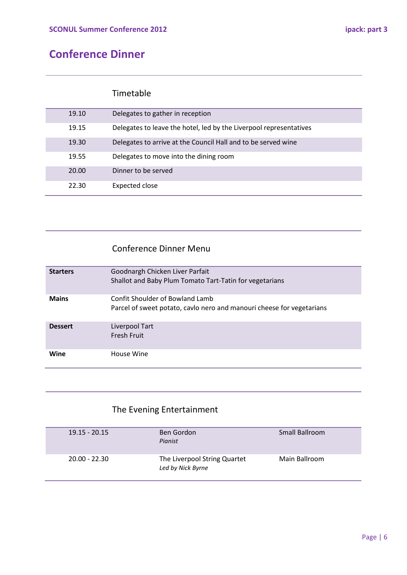# **Conference Dinner**

### Timetable

| 19.10 | Delegates to gather in reception                                   |
|-------|--------------------------------------------------------------------|
| 19.15 | Delegates to leave the hotel, led by the Liverpool representatives |
| 19.30 | Delegates to arrive at the Council Hall and to be served wine      |
| 19.55 | Delegates to move into the dining room                             |
| 20.00 | Dinner to be served                                                |
| 22.30 | Expected close                                                     |

### Conference Dinner Menu

| <b>Starters</b> | Goodnargh Chicken Liver Parfait<br>Shallot and Baby Plum Tomato Tart-Tatin for vegetarians               |
|-----------------|----------------------------------------------------------------------------------------------------------|
| <b>Mains</b>    | Confit Shoulder of Bowland Lamb<br>Parcel of sweet potato, cavlo nero and manouri cheese for vegetarians |
| <b>Dessert</b>  | Liverpool Tart<br>Fresh Fruit                                                                            |
| Wine            | House Wine                                                                                               |

# The Evening Entertainment

| $19.15 - 20.15$ | Ben Gordon<br>Pianist                             | Small Ballroom |
|-----------------|---------------------------------------------------|----------------|
| 20.00 - 22.30   | The Liverpool String Quartet<br>Led by Nick Byrne | Main Ballroom  |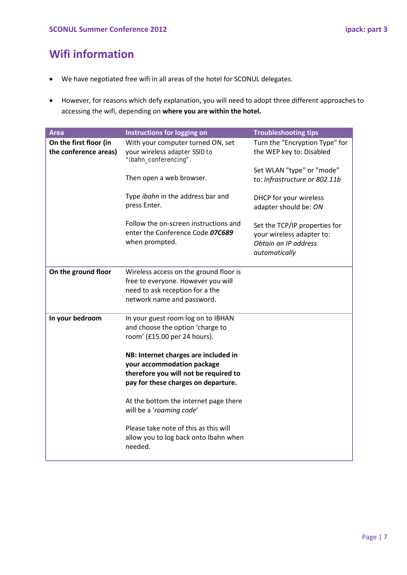# **Wifi information**

- We have negotiated free wifi in all areas of the hotel for SCONUL delegates.
- However, for reasons which defy explanation, you will need to adopt three different approaches to accessing the wifi, depending on **where you are within the hotel.**

| <b>Area</b>                                     | Instructions for logging on                                                                                                                        | <b>Troubleshooting tips</b>                                                                         |
|-------------------------------------------------|----------------------------------------------------------------------------------------------------------------------------------------------------|-----------------------------------------------------------------------------------------------------|
| On the first floor (in<br>the conference areas) | With your computer turned ON, set<br>your wireless adapter SSID to<br>"ibahn_conferencing".                                                        | Turn the "Encryption Type" for<br>the WEP key to: Disabled                                          |
|                                                 | Then open a web browser.                                                                                                                           | Set WLAN "type" or "mode"<br>to: Infrastructure or 802.11b                                          |
|                                                 | Type ibahn in the address bar and<br>press Enter.                                                                                                  | DHCP for your wireless<br>adapter should be: ON                                                     |
|                                                 | Follow the on-screen instructions and<br>enter the Conference Code 07C689<br>when prompted.                                                        | Set the TCP/IP properties for<br>your wireless adapter to:<br>Obtain an IP address<br>automatically |
| On the ground floor                             | Wireless access on the ground floor is<br>free to everyone. However you will<br>need to ask reception for a the<br>network name and password.      |                                                                                                     |
| In your bedroom                                 | In your guest room log on to IBHAN<br>and choose the option 'charge to<br>room' (£15.00 per 24 hours).                                             |                                                                                                     |
|                                                 | NB: Internet charges are included in<br>your accommodation package<br>therefore you will not be required to<br>pay for these charges on departure. |                                                                                                     |
|                                                 | At the bottom the internet page there<br>will be a 'roaming code'                                                                                  |                                                                                                     |
|                                                 | Please take note of this as this will<br>allow you to log back onto Ibahn when<br>needed.                                                          |                                                                                                     |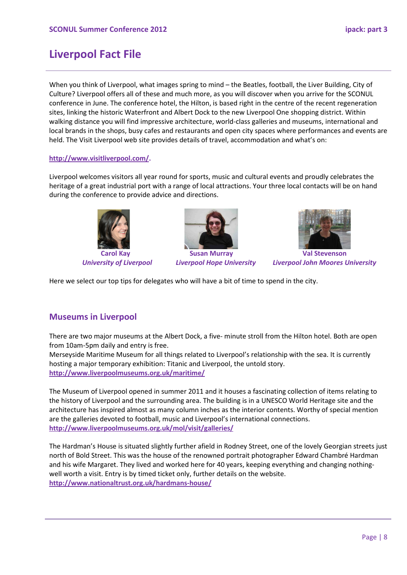# **Liverpool Fact File**

When you think of Liverpool, what images spring to mind – the Beatles, football, the Liver Building, City of Culture? Liverpool offers all of these and much more, as you will discover when you arrive for the SCONUL conference in June. The conference hotel, the Hilton, is based right in the centre of the recent regeneration sites, linking the historic Waterfront and Albert Dock to the new Liverpool One shopping district. Within walking distance you will find impressive architecture, world-class galleries and museums, international and local brands in the shops, busy cafes and restaurants and open city spaces where performances and events are held. The Visit Liverpool web site provides details of travel, accommodation and what's on:

#### **[http://www.visitliverpool.com/.](http://www.visitliverpool.com/)**

Liverpool welcomes visitors all year round for sports, music and cultural events and proudly celebrates the heritage of a great industrial port with a range of local attractions. Your three local contacts will be on hand during the conference to provide advice and directions.







*University of Liverpool Liverpool Hope University Liverpool John Moores University*

Here we select our top tips for delegates who will have a bit of time to spend in the city.

### **Museums in Liverpool**

There are two major museums at the Albert Dock, a five- minute stroll from the Hilton hotel. Both are open from 10am-5pm daily and entry is free.

Merseyside Maritime Museum for all things related to Liverpool's relationship with the sea. It is currently hosting a major temporary exhibition: Titanic and Liverpool, the untold story. **<http://www.liverpoolmuseums.org.uk/maritime/>**

The Museum of Liverpool opened in summer 2011 and it houses a fascinating collection of items relating to the history of Liverpool and the surrounding area. The building is in a UNESCO World Heritage site and the architecture has inspired almost as many column inches as the interior contents. Worthy of special mention are the galleries devoted to football, music and Liverpool's international connections. **<http://www.liverpoolmuseums.org.uk/mol/visit/galleries/>**

The Hardman's House is situated slightly further afield in Rodney Street, one of the lovely Georgian streets just north of Bold Street. This was the house of the renowned portrait photographer Edward Chambré Hardman and his wife Margaret. They lived and worked here for 40 years, keeping everything and changing nothingwell worth a visit. Entry is by timed ticket only, further details on the website. **<http://www.nationaltrust.org.uk/hardmans-house/>**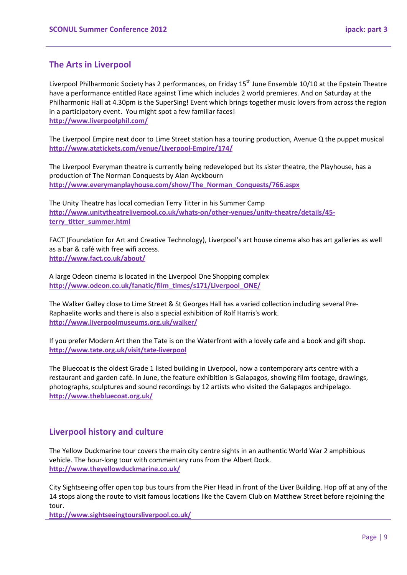### **The Arts in Liverpool**

Liverpool Philharmonic Society has 2 performances, on Friday 15<sup>th</sup> June Ensemble 10/10 at the Epstein Theatre have a performance entitled Race against Time which includes 2 world premieres. And on Saturday at the Philharmonic Hall at 4.30pm is the SuperSing! Event which brings together music lovers from across the region in a participatory event. You might spot a few familiar faces! **<http://www.liverpoolphil.com/>**

The Liverpool Empire next door to Lime Street station has a touring production, Avenue Q the puppet musical **<http://www.atgtickets.com/venue/Liverpool-Empire/174/>**

The Liverpool Everyman theatre is currently being redeveloped but its sister theatre, the Playhouse, has a production of The Norman Conquests by Alan Ayckbourn **[http://www.everymanplayhouse.com/show/The\\_Norman\\_Conquests/766.aspx](http://www.everymanplayhouse.com/show/The_Norman_Conquests/766.aspx)**

The Unity Theatre has local comedian Terry Titter in his Summer Camp **[http://www.unitytheatreliverpool.co.uk/whats-on/other-venues/unity-theatre/details/45](http://www.unitytheatreliverpool.co.uk/whats-on/other-venues/unity-theatre/details/45-terry_titter_summer.html) [terry\\_titter\\_summer.html](http://www.unitytheatreliverpool.co.uk/whats-on/other-venues/unity-theatre/details/45-terry_titter_summer.html)**

FACT (Foundation for Art and Creative Technology), Liverpool's art house cinema also has art galleries as well as a bar & café with free wifi access. **<http://www.fact.co.uk/about/>**

A large Odeon cinema is located in the Liverpool One Shopping complex **[http://www.odeon.co.uk/fanatic/film\\_times/s171/Liverpool\\_ONE/](http://www.odeon.co.uk/fanatic/film_times/s171/Liverpool_ONE/)**

The Walker Galley close to Lime Street & St Georges Hall has a varied collection including several Pre-Raphaelite works and there is also a special exhibition of Rolf Harris's work. **<http://www.liverpoolmuseums.org.uk/walker/>**

If you prefer Modern Art then the Tate is on the Waterfront with a lovely cafe and a book and gift shop. **<http://www.tate.org.uk/visit/tate-liverpool>**

The Bluecoat is the oldest Grade 1 listed building in Liverpool, now a contemporary arts centre with a restaurant and garden café. In June, the feature exhibition is Galapagos, showing film footage, drawings, photographs, sculptures and sound recordings by 12 artists who visited the Galapagos archipelago. **<http://www.thebluecoat.org.uk/>**

### **Liverpool history and culture**

The Yellow Duckmarine tour covers the main city centre sights in an authentic World War 2 amphibious vehicle. The hour-long tour with commentary runs from the Albert Dock. **<http://www.theyellowduckmarine.co.uk/>**

City Sightseeing offer open top bus tours from the Pier Head in front of the Liver Building. Hop off at any of the 14 stops along the route to visit famous locations like the Cavern Club on Matthew Street before rejoining the tour.

**<http://www.sightseeingtoursliverpool.co.uk/>**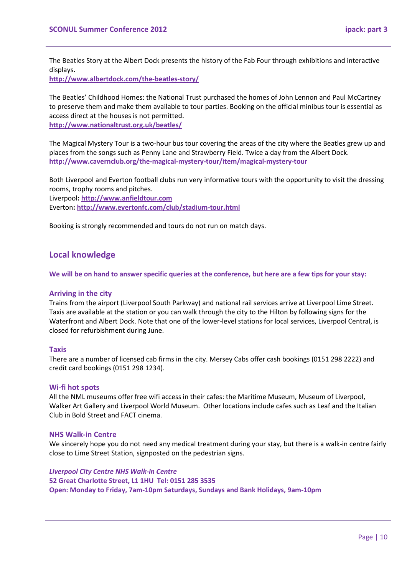The Beatles Story at the Albert Dock presents the history of the Fab Four through exhibitions and interactive displays.

**<http://www.albertdock.com/the-beatles-story/>**

The Beatles' Childhood Homes: the National Trust purchased the homes of John Lennon and Paul McCartney to preserve them and make them available to tour parties. Booking on the official minibus tour is essential as access direct at the houses is not permitted.

**<http://www.nationaltrust.org.uk/beatles/>**

The Magical Mystery Tour is a two-hour bus tour covering the areas of the city where the Beatles grew up and places from the songs such as Penny Lane and Strawberry Field. Twice a day from the Albert Dock. **<http://www.cavernclub.org/the-magical-mystery-tour/item/magical-mystery-tour>**

Both Liverpool and Everton football clubs run very informative tours with the opportunity to visit the dressing rooms, trophy rooms and pitches. Liverpool**: [http://www.anfieldtour.com](http://www.anfieldtour.com/)** Everton**: <http://www.evertonfc.com/club/stadium-tour.html>**

Booking is strongly recommended and tours do not run on match days.

#### **Local knowledge**

**We will be on hand to answer specific queries at the conference, but here are a few tips for your stay:**

#### **Arriving in the city**

Trains from the airport (Liverpool South Parkway) and national rail services arrive at Liverpool Lime Street. Taxis are available at the station or you can walk through the city to the Hilton by following signs for the Waterfront and Albert Dock. Note that one of the lower-level stations for local services, Liverpool Central, is closed for refurbishment during June.

#### **Taxis**

There are a number of licensed cab firms in the city. Mersey Cabs offer cash bookings (0151 298 2222) and credit card bookings (0151 298 1234).

#### **Wi-fi hot spots**

All the NML museums offer free wifi access in their cafes: the Maritime Museum, Museum of Liverpool, Walker Art Gallery and Liverpool World Museum. Other locations include cafes such as Leaf and the Italian Club in Bold Street and FACT cinema.

#### **NHS Walk-in Centre**

We sincerely hope you do not need any medical treatment during your stay, but there is a walk-in centre fairly close to Lime Street Station, signposted on the pedestrian signs.

*Liverpool City Centre NHS Walk-in Centre*  **52 Great Charlotte Street, L1 1HU Tel: 0151 285 3535 Open: Monday to Friday, 7am-10pm Saturdays, Sundays and Bank Holidays, 9am-10pm**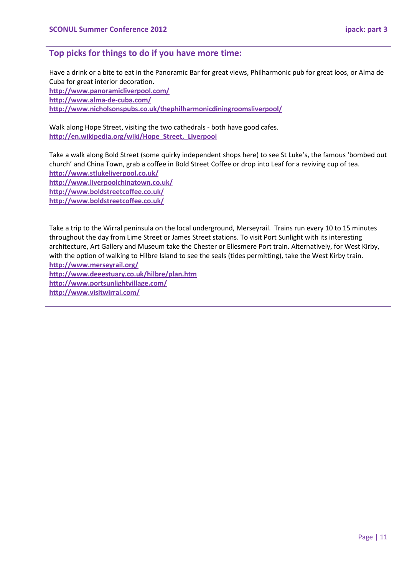#### **Top picks for things to do if you have more time:**

Have a drink or a bite to eat in the Panoramic Bar for great views, Philharmonic pub for great loos, or Alma de Cuba for great interior decoration. **<http://www.panoramicliverpool.com/> <http://www.alma-de-cuba.com/> <http://www.nicholsonspubs.co.uk/thephilharmonicdiningroomsliverpool/>**

Walk along Hope Street, visiting the two cathedrals - both have good cafes. **[http://en.wikipedia.org/wiki/Hope\\_Street,\\_Liverpool](http://en.wikipedia.org/wiki/Hope_Street,_Liverpool)**

Take a walk along Bold Street (some quirky independent shops here) to see St Luke's, the famous 'bombed out church' and China Town, grab a coffee in Bold Street Coffee or drop into Leaf for a reviving cup of tea. **<http://www.stlukeliverpool.co.uk/> <http://www.liverpoolchinatown.co.uk/>**

**<http://www.boldstreetcoffee.co.uk/>**

**<http://www.boldstreetcoffee.co.uk/>**

Take a trip to the Wirral peninsula on the local underground, Merseyrail. Trains run every 10 to 15 minutes throughout the day from Lime Street or James Street stations. To visit Port Sunlight with its interesting architecture, Art Gallery and Museum take the Chester or Ellesmere Port train. Alternatively, for West Kirby, with the option of walking to Hilbre Island to see the seals (tides permitting), take the West Kirby train.

**<http://www.merseyrail.org/> <http://www.deeestuary.co.uk/hilbre/plan.htm> <http://www.portsunlightvillage.com/> <http://www.visitwirral.com/>**